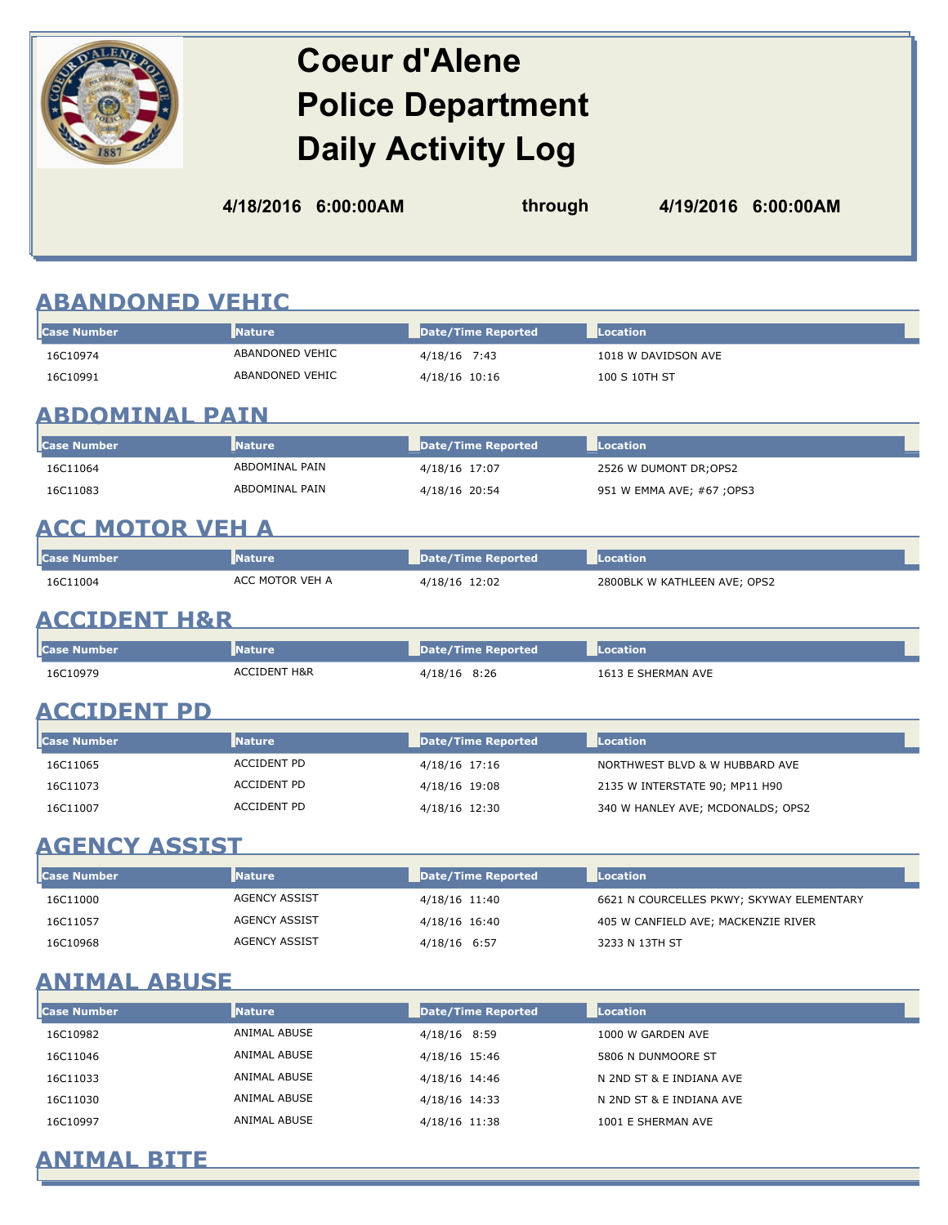# **Coeur d'Alene Police Department Daily Activity Log**

**4/18/2016 6:00:00AM through 4/19/2016 6:00:00AM**

# **ABANDONED VEHIC**

| <b>Case Number</b>      | <b>Nature</b>           | <b>Date/Time Reported</b> | <b>Location</b>                           |
|-------------------------|-------------------------|---------------------------|-------------------------------------------|
| 16C10974                | ABANDONED VEHIC         | 4/18/16 7:43              | 1018 W DAVIDSON AVE                       |
| 16C10991                | ABANDONED VEHIC         | 4/18/16 10:16             | 100 S 10TH ST                             |
| <b>ABDOMINAL PAIN</b>   |                         |                           |                                           |
| <b>Case Number</b>      | <b>Nature</b>           | <b>Date/Time Reported</b> | <b>Location</b>                           |
| 16C11064                | <b>ABDOMINAL PAIN</b>   | 4/18/16 17:07             | 2526 W DUMONT DR; OPS2                    |
| 16C11083                | ABDOMINAL PAIN          | 4/18/16 20:54             | 951 W EMMA AVE; #67 ; OPS3                |
| <u>ACC MOTOR VEH A</u>  |                         |                           |                                           |
| <b>Case Number</b>      | <b>Nature</b>           | <b>Date/Time Reported</b> | <b>Location</b>                           |
| 16C11004                | ACC MOTOR VEH A         | 4/18/16 12:02             | 2800BLK W KATHLEEN AVE; OPS2              |
| <b>ACCIDENT H&amp;R</b> |                         |                           |                                           |
| <b>Case Number</b>      | <b>Nature</b>           | <b>Date/Time Reported</b> | <b>Location</b>                           |
| 16C10979                | <b>ACCIDENT H&amp;R</b> | 4/18/16 8:26              | 1613 E SHERMAN AVE                        |
| <b>ACCIDENT PD</b>      |                         |                           |                                           |
| <b>Case Number</b>      | <b>Nature</b>           | <b>Date/Time Reported</b> | Location                                  |
| 16C11065                | <b>ACCIDENT PD</b>      | 4/18/16 17:16             | NORTHWEST BLVD & W HUBBARD AVE            |
| 16C11073                | <b>ACCIDENT PD</b>      | 4/18/16 19:08             | 2135 W INTERSTATE 90; MP11 H90            |
| 16C11007                | <b>ACCIDENT PD</b>      | 4/18/16 12:30             | 340 W HANLEY AVE; MCDONALDS; OPS2         |
| <b>AGENCY ASSIST</b>    |                         |                           |                                           |
| <b>Case Number</b>      | <b>Nature</b>           | <b>Date/Time Reported</b> | Location                                  |
| 16C11000                | <b>AGENCY ASSIST</b>    | 4/18/16 11:40             | 6621 N COURCELLES PKWY; SKYWAY ELEMENTARY |
| 16C11057                | <b>AGENCY ASSIST</b>    | 4/18/16 16:40             | 405 W CANFIELD AVE; MACKENZIE RIVER       |
| 16C10968                | <b>AGENCY ASSIST</b>    | 4/18/16 6:57              | 3233 N 13TH ST                            |
| <u>ANIMAL ABUSE</u>     |                         |                           |                                           |

| <b>Case Number</b> | <b>Nature</b> | Date/Time Reported | Location                 |
|--------------------|---------------|--------------------|--------------------------|
| 16C10982           | ANIMAL ABUSE  | 4/18/16 8:59       | 1000 W GARDEN AVE        |
| 16C11046           | ANIMAL ABUSE  | 4/18/16 15:46      | 5806 N DUNMOORE ST       |
| 16C11033           | ANIMAL ABUSE  | 4/18/16 14:46      | N 2ND ST & E INDIANA AVE |
| 16C11030           | ANIMAL ABUSE  | 4/18/16 14:33      | N 2ND ST & E INDIANA AVE |
| 16C10997           | ANIMAL ABUSE  | 4/18/16 11:38      | 1001 E SHERMAN AVE       |

### **ANIMAL BITE**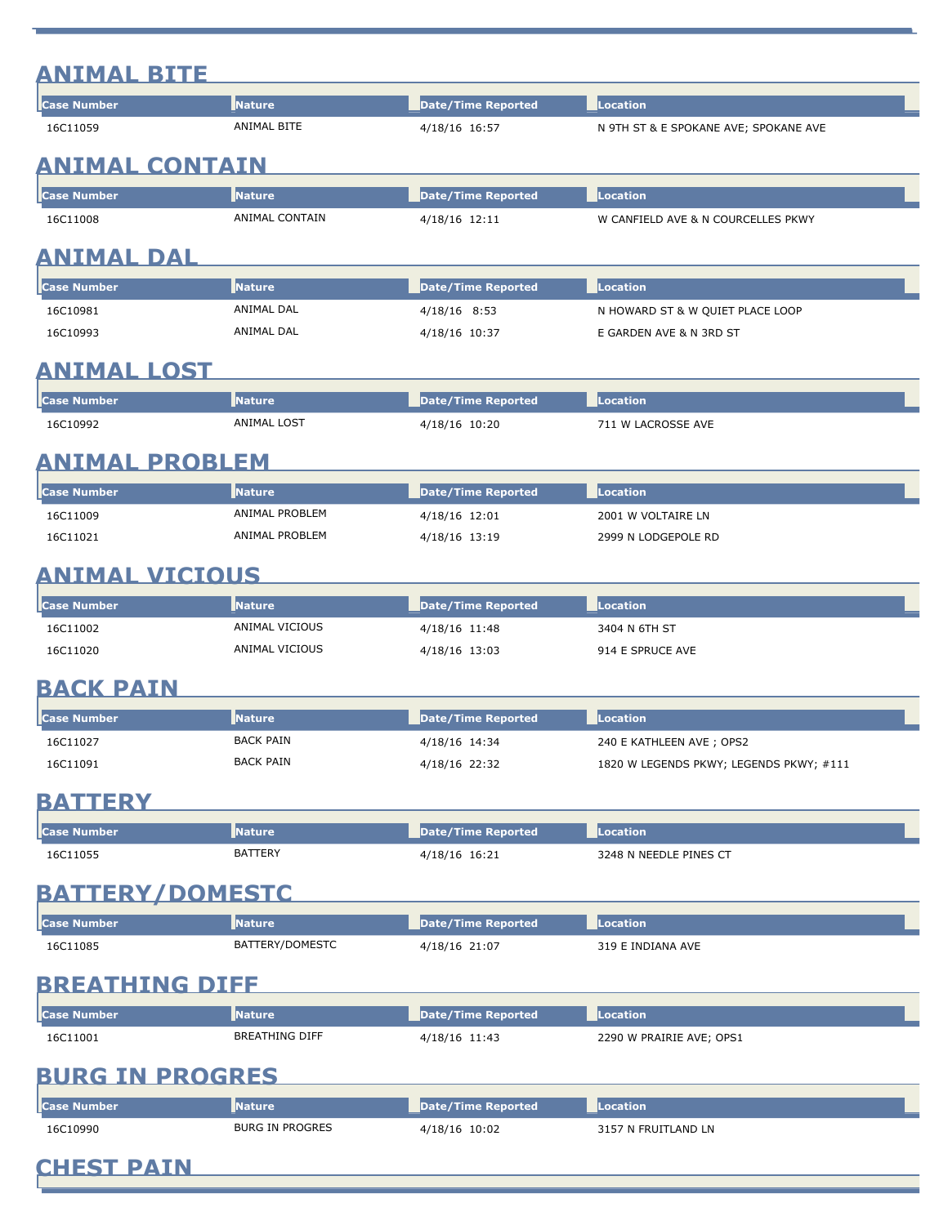### **ANIMAL BITE**

| <b>Case Number</b> | <b>Nature</b>  | Date/Time Reported | Location                              |
|--------------------|----------------|--------------------|---------------------------------------|
| 16C11059           | ANIMAL BITE    | 4/18/16 16:57      | N 9TH ST & E SPOKANE AVE; SPOKANE AVE |
| ANIMAL CONTAIN     |                |                    |                                       |
| <b>Case Number</b> | <b>Nature</b>  | Date/Time Reported | Location                              |
| 16C11008           | ANIMAL CONTAIN | 4/18/16 12:11      | W CANFIELD AVE & N COURCELLES PKWY    |

<u> 1989 - Johann Stoff, deutscher Stoffen und der Stoffen und der Stoffen und der Stoffen und der Stoffen und der</u>

#### **ANIMAL DAL**

| <b>I</b> Case Number | <b>Nature</b> | Date/Time Reported | <b>Location</b>                  |
|----------------------|---------------|--------------------|----------------------------------|
| 16C10981             | ANIMAL DAL    | 4/18/16 8:53       | N HOWARD ST & W QUIET PLACE LOOP |
| 16C10993             | ANIMAL DAL    | 4/18/16 10:37      | E GARDEN AVE & N 3RD ST          |

# **ANIMAL LOST**

| <b>Case Number</b> | <b>Nature</b> | Date/Time Reported | <b>Location</b>    |
|--------------------|---------------|--------------------|--------------------|
| 16C10992           | ANIMAL LOST   | 4/18/16 10:20      | 711 W LACROSSE AVE |

#### **ANIMAL PROBLEM**

| <b>I</b> Case Number | <b>Nature</b>  | Date/Time Reported | <b>Location</b>     |
|----------------------|----------------|--------------------|---------------------|
| 16C11009             | ANIMAL PROBLEM | 4/18/16 12:01      | 2001 W VOLTAIRE LN  |
| 16C11021             | ANIMAL PROBLEM | 4/18/16 13:19      | 2999 N LODGEPOLE RD |

# **ANIMAL VICIOUS**

| <b>Case Number</b> | <b>INature</b> | Date/Time Reported | Location         |
|--------------------|----------------|--------------------|------------------|
| 16C11002           | ANIMAL VICIOUS | 4/18/16 11:48      | 3404 N 6TH ST    |
| 16C11020           | ANIMAL VICIOUS | 4/18/16 13:03      | 914 E SPRUCE AVE |

#### **BACK PAIN**

| <b>lc</b> ase Number | <b>Nature</b>    | Date/Time Reported | Location                                |
|----------------------|------------------|--------------------|-----------------------------------------|
| 16C11027             | <b>BACK PAIN</b> | 4/18/16 14:34      | 240 E KATHLEEN AVE ; OPS2               |
| 16C11091             | <b>BACK PAIN</b> | 4/18/16 22:32      | 1820 W LEGENDS PKWY; LEGENDS PKWY; #111 |

### **BATTERY**

| <b>lc</b> ase Number | lNature        | Date/Time Reported | Location               |
|----------------------|----------------|--------------------|------------------------|
| 16C11055             | <b>BATTERY</b> | 4/18/16 16:21      | 3248 N NEEDLE PINES CT |

<u> 1989 - Johann Barn, mars ar breithinn ar breithinn ar breithinn ar breithinn ar breithinn ar breithinn ar br</u>

# **BATTERY/DOMESTC**

| <b>I</b> Case | Nature          | Date/Time Reported | ation             |
|---------------|-----------------|--------------------|-------------------|
| 16C11085      | BATTERY/DOMESTC | 4/18/16 21:07      | 319 E INDIANA AVE |

# **BREATHING DIFF**

| l <b>l</b> Case Number | <b>Nature</b>         | Date/Time Reported | Location                 |
|------------------------|-----------------------|--------------------|--------------------------|
| 16C11001               | <b>BREATHING DIFF</b> | 4/18/16 11:43      | 2290 W PRAIRIE AVE: OPS1 |

### **BURG IN PROGRES**

| <b>Case Number</b> | <b>Nature</b>   | Date/Time Reported | <b>Location</b>     |
|--------------------|-----------------|--------------------|---------------------|
| 16C10990           | BURG IN PROGRES | 4/18/16 10:02      | 3157 N FRUITLAND LN |

**CHEST PAIN**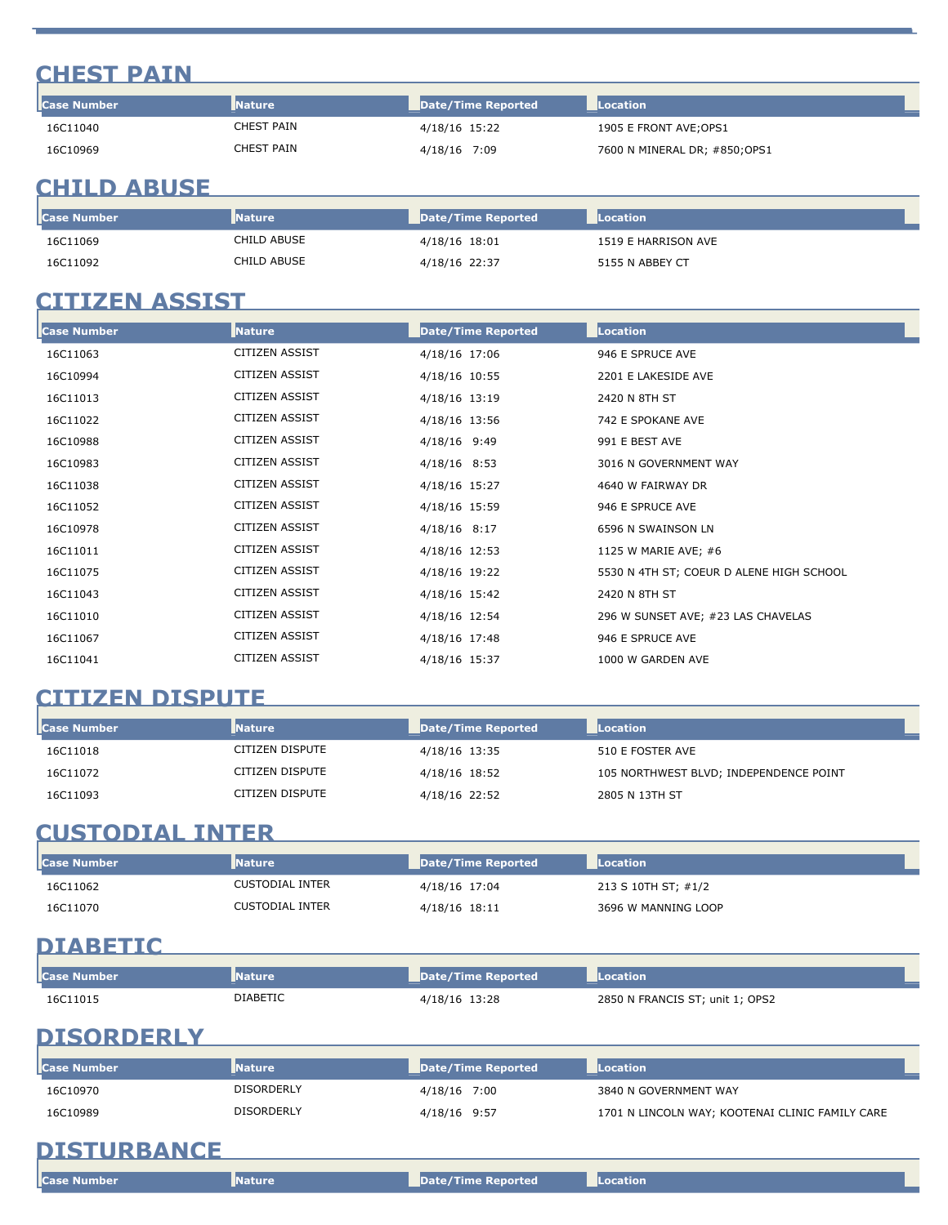### **CHEST PAIN**

| <b>I</b> Case Number | <b>Nature</b> | Date/Time Reported | Location                      |
|----------------------|---------------|--------------------|-------------------------------|
| 16C11040             | CHEST PAIN    | 4/18/16 15:22      | 1905 E FRONT AVE; OPS1        |
| 16C10969             | CHEST PAIN    | 4/18/16 7:09       | 7600 N MINERAL DR; #850; OPS1 |

#### **CHILD ABUSE**

| <b>Case Number</b> | <b>I</b> Nature | Date/Time Reported | <b>Location</b>     |
|--------------------|-----------------|--------------------|---------------------|
| 16C11069           | CHILD ABUSE     | 4/18/16 18:01      | 1519 E HARRISON AVE |
| 16C11092           | CHILD ABUSE     | 4/18/16 22:37      | 5155 N ABBEY CT     |

### **CITIZEN ASSIST**

| <b>Case Number</b> | <b>Nature</b>         | Date/Time Reported | Location                                 |
|--------------------|-----------------------|--------------------|------------------------------------------|
| 16C11063           | <b>CITIZEN ASSIST</b> | 4/18/16 17:06      | 946 E SPRUCE AVE                         |
| 16C10994           | <b>CITIZEN ASSIST</b> | 4/18/16 10:55      | 2201 E LAKESIDE AVE                      |
| 16C11013           | <b>CITIZEN ASSIST</b> | 4/18/16 13:19      | 2420 N 8TH ST                            |
| 16C11022           | <b>CITIZEN ASSIST</b> | 4/18/16 13:56      | 742 E SPOKANE AVE                        |
| 16C10988           | <b>CITIZEN ASSIST</b> | 4/18/16 9:49       | 991 E BEST AVE                           |
| 16C10983           | <b>CITIZEN ASSIST</b> | 4/18/16 8:53       | 3016 N GOVERNMENT WAY                    |
| 16C11038           | <b>CITIZEN ASSIST</b> | 4/18/16 15:27      | 4640 W FAIRWAY DR                        |
| 16C11052           | <b>CITIZEN ASSIST</b> | 4/18/16 15:59      | 946 E SPRUCE AVE                         |
| 16C10978           | <b>CITIZEN ASSIST</b> | $4/18/16$ 8:17     | 6596 N SWAINSON LN                       |
| 16C11011           | <b>CITIZEN ASSIST</b> | 4/18/16 12:53      | 1125 W MARIE AVE; #6                     |
| 16C11075           | <b>CITIZEN ASSIST</b> | 4/18/16 19:22      | 5530 N 4TH ST; COEUR D ALENE HIGH SCHOOL |
| 16C11043           | <b>CITIZEN ASSIST</b> | 4/18/16 15:42      | 2420 N 8TH ST                            |
| 16C11010           | <b>CITIZEN ASSIST</b> | 4/18/16 12:54      | 296 W SUNSET AVE; #23 LAS CHAVELAS       |
| 16C11067           | <b>CITIZEN ASSIST</b> | 4/18/16 17:48      | 946 E SPRUCE AVE                         |
| 16C11041           | <b>CITIZEN ASSIST</b> | 4/18/16 15:37      | 1000 W GARDEN AVE                        |

#### **CITIZEN DISPUTE**

| <b>Case Number</b> | <b>Nature</b>   | Date/Time Reported | Location                               |
|--------------------|-----------------|--------------------|----------------------------------------|
| 16C11018           | CITIZEN DISPUTE | 4/18/16 13:35      | 510 E FOSTER AVE                       |
| 16C11072           | CITIZEN DISPUTE | 4/18/16 18:52      | 105 NORTHWEST BLVD; INDEPENDENCE POINT |
| 16C11093           | CITIZEN DISPUTE | 4/18/16 22:52      | 2805 N 13TH ST                         |

# **CUSTODIAL INTER**

| <b>I</b> Case Number | <b>Nature</b>          | Date/Time Reported | Location            |
|----------------------|------------------------|--------------------|---------------------|
| 16C11062             | CUSTODIAL INTER        | 4/18/16 17:04      | 213 S 10TH ST; #1/2 |
| 16C11070             | <b>CUSTODIAL INTER</b> | 4/18/16 18:11      | 3696 W MANNING LOOP |

#### **DIABETIC**

| <b>I</b> Case Number | <b>Nature</b>   | Date/Time Reported | <b>ILocation</b>                |
|----------------------|-----------------|--------------------|---------------------------------|
| 16C11015             | <b>DIABETIC</b> | 4/18/16 13:28      | 2850 N FRANCIS ST; unit 1; OPS2 |

# **DISORDERLY**

| <b>Case Number</b> | <b>Nature</b>     | Date/Time Reported | <b>Location</b>                                 |
|--------------------|-------------------|--------------------|-------------------------------------------------|
| 16C10970           | <b>DISORDERLY</b> | 4/18/16 7:00       | 3840 N GOVERNMENT WAY                           |
| 16C10989           | DISORDERLY        | 4/18/16 9:57       | 1701 N LINCOLN WAY; KOOTENAI CLINIC FAMILY CARE |

### **DISTURBANCE**

| <b>Case Number</b> | <b>Nature</b> | Date/Time Reported | <b>Exercise Addition</b> |
|--------------------|---------------|--------------------|--------------------------|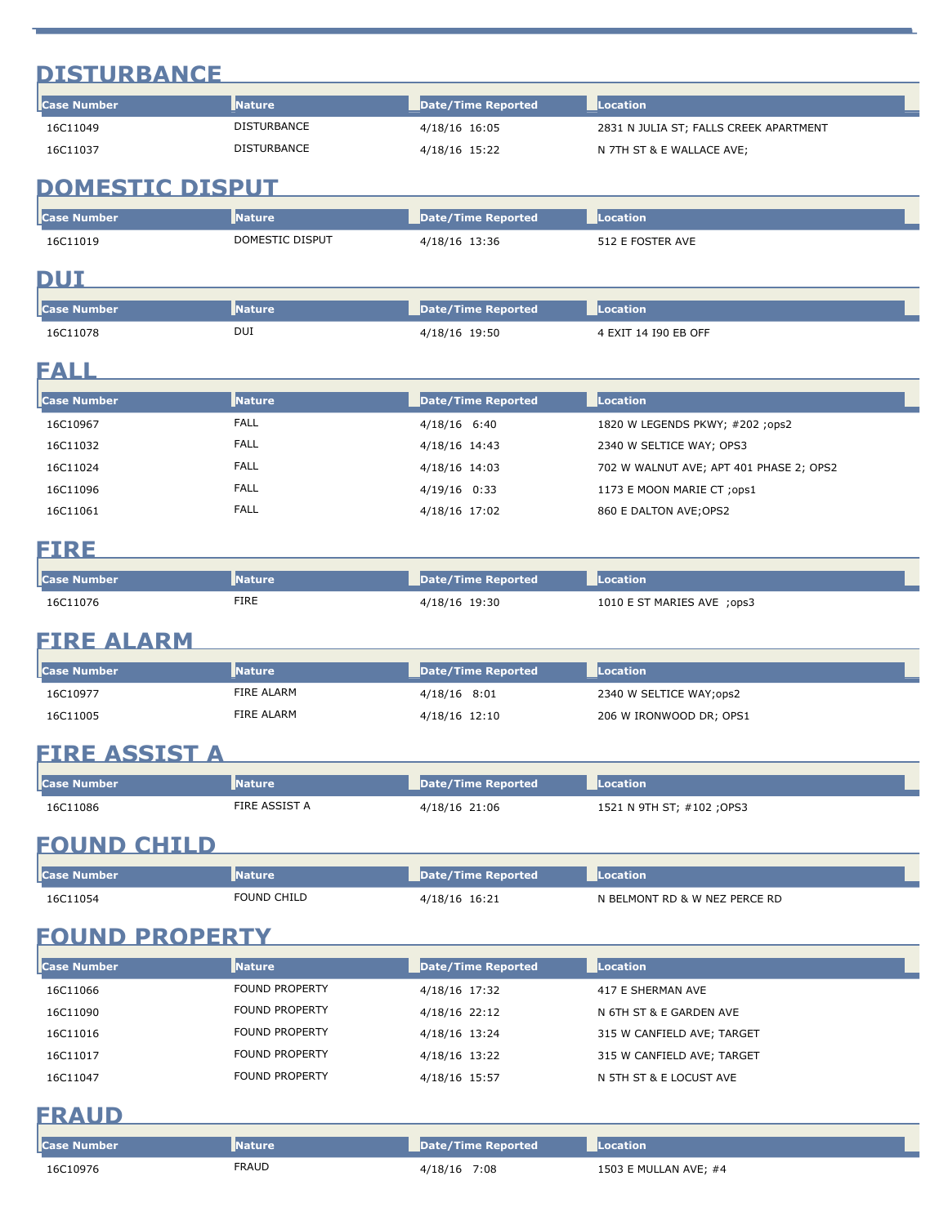# **DISTURBANCE**

| <b>I</b> Case Number | <b>Nature</b>      | Date/Time Reported | <b>Location</b>                        |
|----------------------|--------------------|--------------------|----------------------------------------|
| 16C11049             | <b>DISTURBANCE</b> | 4/18/16 16:05      | 2831 N JULIA ST; FALLS CREEK APARTMENT |
| 16C11037             | <b>DISTURBANCE</b> | 4/18/16 15:22      | N 7TH ST & E WALLACE AVE;              |

# **DOMESTIC DISPUT**

| <b>I</b> Case Number | Nature          | Date/Time Reported | Location         |
|----------------------|-----------------|--------------------|------------------|
| 16C11019             | DOMESTIC DISPUT | 4/18/16 13:36      | 512 E FOSTER AVE |

#### **DUI**

| l <b>l</b> Case Number | <b>Nature</b> | Date/Time Reported | <b>Location</b>      |
|------------------------|---------------|--------------------|----------------------|
| 16C11078               | DUI           | 4/18/16 19:50      | 4 EXIT 14 190 EB OFF |

### **FALL**

| <b>Nature</b> | Date/Time Reported | Location                                |
|---------------|--------------------|-----------------------------------------|
| <b>FALL</b>   | 4/18/16 6:40       | 1820 W LEGENDS PKWY; #202 ;ops2         |
| <b>FALL</b>   | 4/18/16 14:43      | 2340 W SELTICE WAY; OPS3                |
| <b>FALL</b>   | 4/18/16 14:03      | 702 W WALNUT AVE; APT 401 PHASE 2; OPS2 |
| <b>FALL</b>   | $4/19/16$ 0:33     | 1173 E MOON MARIE CT ; ops1             |
| <b>FALL</b>   | 4/18/16 17:02      | 860 E DALTON AVE; OPS2                  |
|               |                    |                                         |

### **FIRE**

| l <b>l</b> Case Number | Nature | Date/Time Reported | Location                   |
|------------------------|--------|--------------------|----------------------------|
| 16C11076               | FIRE   | 4/18/16 19:30      | 1010 E ST MARIES AVE ;ops3 |

#### **FIRE ALARM**

| <b>I</b> Case Number | <b>Nature</b> | Date/Time Reported | <b>Location</b>         |
|----------------------|---------------|--------------------|-------------------------|
| 16C10977             | FIRE ALARM    | 4/18/16 8:01       | 2340 W SELTICE WAY;ops2 |
| 16C11005             | FIRE ALARM    | 4/18/16 12:10      | 206 W IRONWOOD DR; OPS1 |

# **FIRE ASSIST A**

| <b>Case Number</b> | <b>Nature</b> | Date/Time Reported | Location                  |
|--------------------|---------------|--------------------|---------------------------|
| 16C11086           | FIRE ASSIST A | 4/18/16 21:06      | 1521 N 9TH ST; #102 ;OPS3 |

### **FOUND CHILD**

| <b>I</b> Case | Nature      | Date/Time Reported | ation                         |
|---------------|-------------|--------------------|-------------------------------|
| 16C11054      | FOUND CHILD | 1/18/16 16:21      | N BELMONT RD & W NEZ PERCE RD |

# **FOUND PROPERTY**

| <b>I</b> Case Number | <b>Nature</b>         | Date/Time Reported | Location                   |  |
|----------------------|-----------------------|--------------------|----------------------------|--|
| 16C11066             | <b>FOUND PROPERTY</b> | 4/18/16 17:32      | 417 E SHERMAN AVE          |  |
| 16C11090             | <b>FOUND PROPERTY</b> | 4/18/16 22:12      | N 6TH ST & E GARDEN AVE    |  |
| 16C11016             | <b>FOUND PROPERTY</b> | 4/18/16 13:24      | 315 W CANFIELD AVE; TARGET |  |
| 16C11017             | <b>FOUND PROPERTY</b> | 4/18/16 13:22      | 315 W CANFIELD AVE; TARGET |  |
| 16C11047             | <b>FOUND PROPERTY</b> | 4/18/16 15:57      | N 5TH ST & E LOCUST AVE    |  |

### **FRAUD**

| Case Number | <b>Nature</b> | Date/Time Reported | <b>ILocation</b>      |
|-------------|---------------|--------------------|-----------------------|
| 16C10976    | <b>FRAUD</b>  | 4/18/16 7:08       | 1503 E MULLAN AVE: #4 |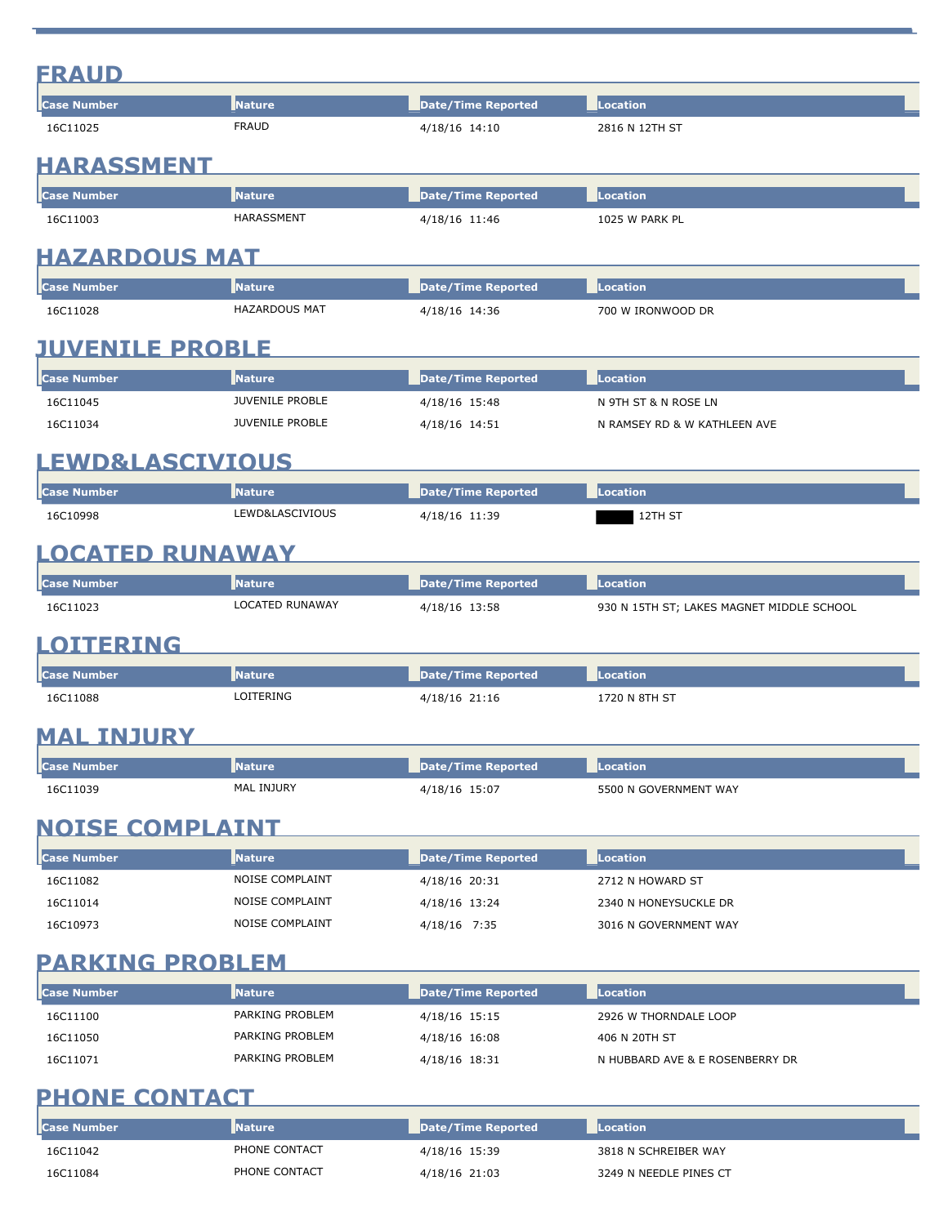|--|

| <b>FRAUD</b><br>2816 N 12TH ST<br>4/18/16 14:10<br><b>HARASSMENT</b><br>Nature<br><b>Date/Time Reported</b><br>Location<br>HARASSMENT<br>4/18/16 11:46<br>1025 W PARK PL<br>HAZARDOUS MAT<br><b>Nature</b><br><b>Date/Time Reported</b><br><b>Location</b><br><b>HAZARDOUS MAT</b><br>4/18/16 14:36<br>700 W IRONWOOD DR<br><b>JUVENILE PROBLE</b><br><b>Nature</b><br><b>Date/Time Reported</b><br><b>Location</b><br>JUVENILE PROBLE<br>N 9TH ST & N ROSE LN<br>4/18/16 15:48<br><b>JUVENILE PROBLE</b><br>4/18/16 14:51<br>N RAMSEY RD & W KATHLEEN AVE<br><b>EWD&amp;LASCIVIOUS</b><br><b>Case Number</b><br><b>Nature</b><br><b>Date/Time Reported</b><br><b>Location</b><br>LEWD&LASCIVIOUS<br>4/18/16 11:39<br>12TH ST<br><b>LOCATED RUNAWAY</b><br><b>Nature</b><br><b>Date/Time Reported</b><br><b>Location</b><br>LOCATED RUNAWAY<br>4/18/16 13:58<br>930 N 15TH ST; LAKES MAGNET MIDDLE SCHOOL<br>TERING<br><b>Nature</b><br><b>Date/Time Reported</b><br><b>Location</b><br>LOITERING<br>4/18/16 21:16<br>1720 N 8TH ST<br><b>INJURY</b><br><b>Nature</b><br><b>Location</b><br><b>Case Number</b><br><b>Date/Time Reported</b><br>MAL INJURY<br>4/18/16 15:07<br>5500 N GOVERNMENT WAY<br><b>NOISE COMPLAINT</b><br><b>Case Number</b><br><b>Nature</b><br><b>Date/Time Reported</b><br>Location<br>NOISE COMPLAINT<br>16C11082<br>4/18/16 20:31<br>2712 N HOWARD ST<br>NOISE COMPLAINT<br>16C11014<br>4/18/16 13:24<br>2340 N HONEYSUCKLE DR<br><b>NOISE COMPLAINT</b><br>16C10973<br>3016 N GOVERNMENT WAY<br>4/18/16 7:35<br><b>PARKING PROBLEM</b><br><b>Nature</b><br><b>Date/Time Reported</b><br><b>Location</b><br>PARKING PROBLEM<br>4/18/16 15:15<br>2926 W THORNDALE LOOP<br>PARKING PROBLEM<br>4/18/16 16:08<br>406 N 20TH ST<br>PARKING PROBLEM<br>4/18/16 18:31<br>N HUBBARD AVE & E ROSENBERRY DR<br><b>PHONE CONTACT</b> | <b>Case Number</b> | <b>Nature</b> | <b>Date/Time Reported</b> | <b>Location</b> |
|-------------------------------------------------------------------------------------------------------------------------------------------------------------------------------------------------------------------------------------------------------------------------------------------------------------------------------------------------------------------------------------------------------------------------------------------------------------------------------------------------------------------------------------------------------------------------------------------------------------------------------------------------------------------------------------------------------------------------------------------------------------------------------------------------------------------------------------------------------------------------------------------------------------------------------------------------------------------------------------------------------------------------------------------------------------------------------------------------------------------------------------------------------------------------------------------------------------------------------------------------------------------------------------------------------------------------------------------------------------------------------------------------------------------------------------------------------------------------------------------------------------------------------------------------------------------------------------------------------------------------------------------------------------------------------------------------------------------------------------------------------------------------------------------------------------------------------------------------------|--------------------|---------------|---------------------------|-----------------|
|                                                                                                                                                                                                                                                                                                                                                                                                                                                                                                                                                                                                                                                                                                                                                                                                                                                                                                                                                                                                                                                                                                                                                                                                                                                                                                                                                                                                                                                                                                                                                                                                                                                                                                                                                                                                                                                       | 16C11025           |               |                           |                 |
|                                                                                                                                                                                                                                                                                                                                                                                                                                                                                                                                                                                                                                                                                                                                                                                                                                                                                                                                                                                                                                                                                                                                                                                                                                                                                                                                                                                                                                                                                                                                                                                                                                                                                                                                                                                                                                                       |                    |               |                           |                 |
|                                                                                                                                                                                                                                                                                                                                                                                                                                                                                                                                                                                                                                                                                                                                                                                                                                                                                                                                                                                                                                                                                                                                                                                                                                                                                                                                                                                                                                                                                                                                                                                                                                                                                                                                                                                                                                                       | <b>Case Number</b> |               |                           |                 |
|                                                                                                                                                                                                                                                                                                                                                                                                                                                                                                                                                                                                                                                                                                                                                                                                                                                                                                                                                                                                                                                                                                                                                                                                                                                                                                                                                                                                                                                                                                                                                                                                                                                                                                                                                                                                                                                       | 16C11003           |               |                           |                 |
|                                                                                                                                                                                                                                                                                                                                                                                                                                                                                                                                                                                                                                                                                                                                                                                                                                                                                                                                                                                                                                                                                                                                                                                                                                                                                                                                                                                                                                                                                                                                                                                                                                                                                                                                                                                                                                                       |                    |               |                           |                 |
|                                                                                                                                                                                                                                                                                                                                                                                                                                                                                                                                                                                                                                                                                                                                                                                                                                                                                                                                                                                                                                                                                                                                                                                                                                                                                                                                                                                                                                                                                                                                                                                                                                                                                                                                                                                                                                                       | <b>Case Number</b> |               |                           |                 |
|                                                                                                                                                                                                                                                                                                                                                                                                                                                                                                                                                                                                                                                                                                                                                                                                                                                                                                                                                                                                                                                                                                                                                                                                                                                                                                                                                                                                                                                                                                                                                                                                                                                                                                                                                                                                                                                       | 16C11028           |               |                           |                 |
|                                                                                                                                                                                                                                                                                                                                                                                                                                                                                                                                                                                                                                                                                                                                                                                                                                                                                                                                                                                                                                                                                                                                                                                                                                                                                                                                                                                                                                                                                                                                                                                                                                                                                                                                                                                                                                                       |                    |               |                           |                 |
|                                                                                                                                                                                                                                                                                                                                                                                                                                                                                                                                                                                                                                                                                                                                                                                                                                                                                                                                                                                                                                                                                                                                                                                                                                                                                                                                                                                                                                                                                                                                                                                                                                                                                                                                                                                                                                                       | <b>Case Number</b> |               |                           |                 |
|                                                                                                                                                                                                                                                                                                                                                                                                                                                                                                                                                                                                                                                                                                                                                                                                                                                                                                                                                                                                                                                                                                                                                                                                                                                                                                                                                                                                                                                                                                                                                                                                                                                                                                                                                                                                                                                       | 16C11045           |               |                           |                 |
|                                                                                                                                                                                                                                                                                                                                                                                                                                                                                                                                                                                                                                                                                                                                                                                                                                                                                                                                                                                                                                                                                                                                                                                                                                                                                                                                                                                                                                                                                                                                                                                                                                                                                                                                                                                                                                                       | 16C11034           |               |                           |                 |
|                                                                                                                                                                                                                                                                                                                                                                                                                                                                                                                                                                                                                                                                                                                                                                                                                                                                                                                                                                                                                                                                                                                                                                                                                                                                                                                                                                                                                                                                                                                                                                                                                                                                                                                                                                                                                                                       |                    |               |                           |                 |
|                                                                                                                                                                                                                                                                                                                                                                                                                                                                                                                                                                                                                                                                                                                                                                                                                                                                                                                                                                                                                                                                                                                                                                                                                                                                                                                                                                                                                                                                                                                                                                                                                                                                                                                                                                                                                                                       |                    |               |                           |                 |
|                                                                                                                                                                                                                                                                                                                                                                                                                                                                                                                                                                                                                                                                                                                                                                                                                                                                                                                                                                                                                                                                                                                                                                                                                                                                                                                                                                                                                                                                                                                                                                                                                                                                                                                                                                                                                                                       | 16C10998           |               |                           |                 |
|                                                                                                                                                                                                                                                                                                                                                                                                                                                                                                                                                                                                                                                                                                                                                                                                                                                                                                                                                                                                                                                                                                                                                                                                                                                                                                                                                                                                                                                                                                                                                                                                                                                                                                                                                                                                                                                       |                    |               |                           |                 |
|                                                                                                                                                                                                                                                                                                                                                                                                                                                                                                                                                                                                                                                                                                                                                                                                                                                                                                                                                                                                                                                                                                                                                                                                                                                                                                                                                                                                                                                                                                                                                                                                                                                                                                                                                                                                                                                       |                    |               |                           |                 |
|                                                                                                                                                                                                                                                                                                                                                                                                                                                                                                                                                                                                                                                                                                                                                                                                                                                                                                                                                                                                                                                                                                                                                                                                                                                                                                                                                                                                                                                                                                                                                                                                                                                                                                                                                                                                                                                       | <b>Case Number</b> |               |                           |                 |
|                                                                                                                                                                                                                                                                                                                                                                                                                                                                                                                                                                                                                                                                                                                                                                                                                                                                                                                                                                                                                                                                                                                                                                                                                                                                                                                                                                                                                                                                                                                                                                                                                                                                                                                                                                                                                                                       | 16C11023           |               |                           |                 |
|                                                                                                                                                                                                                                                                                                                                                                                                                                                                                                                                                                                                                                                                                                                                                                                                                                                                                                                                                                                                                                                                                                                                                                                                                                                                                                                                                                                                                                                                                                                                                                                                                                                                                                                                                                                                                                                       | OI                 |               |                           |                 |
|                                                                                                                                                                                                                                                                                                                                                                                                                                                                                                                                                                                                                                                                                                                                                                                                                                                                                                                                                                                                                                                                                                                                                                                                                                                                                                                                                                                                                                                                                                                                                                                                                                                                                                                                                                                                                                                       | <b>Case Number</b> |               |                           |                 |
|                                                                                                                                                                                                                                                                                                                                                                                                                                                                                                                                                                                                                                                                                                                                                                                                                                                                                                                                                                                                                                                                                                                                                                                                                                                                                                                                                                                                                                                                                                                                                                                                                                                                                                                                                                                                                                                       | 16C11088           |               |                           |                 |
|                                                                                                                                                                                                                                                                                                                                                                                                                                                                                                                                                                                                                                                                                                                                                                                                                                                                                                                                                                                                                                                                                                                                                                                                                                                                                                                                                                                                                                                                                                                                                                                                                                                                                                                                                                                                                                                       | MAL                |               |                           |                 |
|                                                                                                                                                                                                                                                                                                                                                                                                                                                                                                                                                                                                                                                                                                                                                                                                                                                                                                                                                                                                                                                                                                                                                                                                                                                                                                                                                                                                                                                                                                                                                                                                                                                                                                                                                                                                                                                       |                    |               |                           |                 |
|                                                                                                                                                                                                                                                                                                                                                                                                                                                                                                                                                                                                                                                                                                                                                                                                                                                                                                                                                                                                                                                                                                                                                                                                                                                                                                                                                                                                                                                                                                                                                                                                                                                                                                                                                                                                                                                       | 16C11039           |               |                           |                 |
|                                                                                                                                                                                                                                                                                                                                                                                                                                                                                                                                                                                                                                                                                                                                                                                                                                                                                                                                                                                                                                                                                                                                                                                                                                                                                                                                                                                                                                                                                                                                                                                                                                                                                                                                                                                                                                                       |                    |               |                           |                 |
|                                                                                                                                                                                                                                                                                                                                                                                                                                                                                                                                                                                                                                                                                                                                                                                                                                                                                                                                                                                                                                                                                                                                                                                                                                                                                                                                                                                                                                                                                                                                                                                                                                                                                                                                                                                                                                                       |                    |               |                           |                 |
|                                                                                                                                                                                                                                                                                                                                                                                                                                                                                                                                                                                                                                                                                                                                                                                                                                                                                                                                                                                                                                                                                                                                                                                                                                                                                                                                                                                                                                                                                                                                                                                                                                                                                                                                                                                                                                                       |                    |               |                           |                 |
|                                                                                                                                                                                                                                                                                                                                                                                                                                                                                                                                                                                                                                                                                                                                                                                                                                                                                                                                                                                                                                                                                                                                                                                                                                                                                                                                                                                                                                                                                                                                                                                                                                                                                                                                                                                                                                                       |                    |               |                           |                 |
|                                                                                                                                                                                                                                                                                                                                                                                                                                                                                                                                                                                                                                                                                                                                                                                                                                                                                                                                                                                                                                                                                                                                                                                                                                                                                                                                                                                                                                                                                                                                                                                                                                                                                                                                                                                                                                                       |                    |               |                           |                 |
|                                                                                                                                                                                                                                                                                                                                                                                                                                                                                                                                                                                                                                                                                                                                                                                                                                                                                                                                                                                                                                                                                                                                                                                                                                                                                                                                                                                                                                                                                                                                                                                                                                                                                                                                                                                                                                                       |                    |               |                           |                 |
|                                                                                                                                                                                                                                                                                                                                                                                                                                                                                                                                                                                                                                                                                                                                                                                                                                                                                                                                                                                                                                                                                                                                                                                                                                                                                                                                                                                                                                                                                                                                                                                                                                                                                                                                                                                                                                                       |                    |               |                           |                 |
|                                                                                                                                                                                                                                                                                                                                                                                                                                                                                                                                                                                                                                                                                                                                                                                                                                                                                                                                                                                                                                                                                                                                                                                                                                                                                                                                                                                                                                                                                                                                                                                                                                                                                                                                                                                                                                                       | <b>Case Number</b> |               |                           |                 |
|                                                                                                                                                                                                                                                                                                                                                                                                                                                                                                                                                                                                                                                                                                                                                                                                                                                                                                                                                                                                                                                                                                                                                                                                                                                                                                                                                                                                                                                                                                                                                                                                                                                                                                                                                                                                                                                       | 16C11100           |               |                           |                 |
|                                                                                                                                                                                                                                                                                                                                                                                                                                                                                                                                                                                                                                                                                                                                                                                                                                                                                                                                                                                                                                                                                                                                                                                                                                                                                                                                                                                                                                                                                                                                                                                                                                                                                                                                                                                                                                                       | 16C11050           |               |                           |                 |
|                                                                                                                                                                                                                                                                                                                                                                                                                                                                                                                                                                                                                                                                                                                                                                                                                                                                                                                                                                                                                                                                                                                                                                                                                                                                                                                                                                                                                                                                                                                                                                                                                                                                                                                                                                                                                                                       | 16C11071           |               |                           |                 |
|                                                                                                                                                                                                                                                                                                                                                                                                                                                                                                                                                                                                                                                                                                                                                                                                                                                                                                                                                                                                                                                                                                                                                                                                                                                                                                                                                                                                                                                                                                                                                                                                                                                                                                                                                                                                                                                       |                    |               |                           |                 |

| <b>Case Number</b> | <b>Nature</b> | Date/Time Reported | <b>Location</b>        |
|--------------------|---------------|--------------------|------------------------|
| 16C11042           | PHONE CONTACT | 4/18/16 15:39      | 3818 N SCHREIBER WAY   |
| 16C11084           | PHONE CONTACT | 4/18/16 21:03      | 3249 N NEEDLE PINES CT |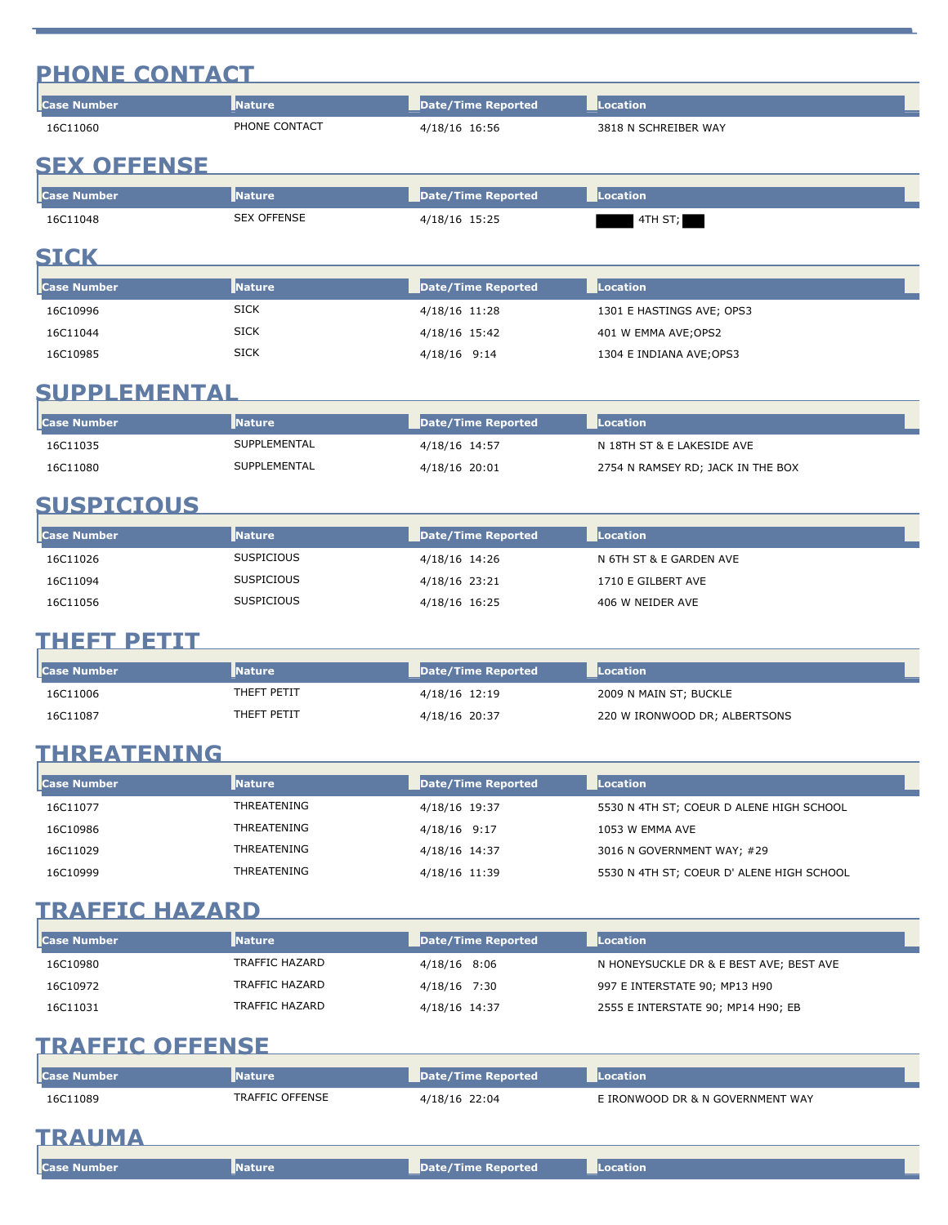# **PHONE CONTACT**

| <b>I</b> Case Number | <b>Nature</b> | Date/Time Reported | <b>Location</b>      |
|----------------------|---------------|--------------------|----------------------|
| 16C11060             | PHONE CONTACT | 4/18/16 16:56      | 3818 N SCHREIBER WAY |
| AFV AFFENAF          |               |                    |                      |

#### **SEX OFFENSE**

| <b>I</b> Case Number | <b>Nature</b>      | Date/Time Reported | Location |
|----------------------|--------------------|--------------------|----------|
| 16C11048             | <b>SEX OFFENSE</b> | 4/18/16 15:25      | 4TH ST;  |

#### **SICK SICK SICK**

| <b>Case Number</b> | <b>Nature</b> | Date/Time Reported | Location                  |
|--------------------|---------------|--------------------|---------------------------|
| 16C10996           | SICK          | 4/18/16 11:28      | 1301 E HASTINGS AVE; OPS3 |
| 16C11044           | <b>SICK</b>   | 4/18/16 15:42      | 401 W EMMA AVE;OPS2       |
| 16C10985           | <b>SICK</b>   | 4/18/16 9:14       | 1304 E INDIANA AVE;OPS3   |

# **SUPPLEMENTAL**

| l <b>l</b> Case Number | <b>Nature</b> | Date/Time Reported | Location                          |
|------------------------|---------------|--------------------|-----------------------------------|
| 16C11035               | SUPPLEMENTAL  | 4/18/16 14:57      | N 18TH ST & E LAKESIDE AVE        |
| 16C11080               | SUPPLEMENTAL  | 4/18/16 20:01      | 2754 N RAMSEY RD; JACK IN THE BOX |

### **SUSPICIOUS**

| <b>Case Number</b> | <b>Nature</b>     | Date/Time Reported | <b>Location</b>         |
|--------------------|-------------------|--------------------|-------------------------|
| 16C11026           | <b>SUSPICIOUS</b> | 4/18/16 14:26      | N 6TH ST & E GARDEN AVE |
| 16C11094           | SUSPICIOUS        | 4/18/16 23:21      | 1710 E GILBERT AVE      |
| 16C11056           | <b>SUSPICIOUS</b> | 4/18/16 16:25      | 406 W NEIDER AVE        |

# **THEFT PETIT**

| <b>I</b> Case Number | <b>Nature</b> | Date/Time Reported | Location                      |
|----------------------|---------------|--------------------|-------------------------------|
| 16C11006             | THEFT PETIT   | 4/18/16 12:19      | 2009 N MAIN ST; BUCKLE        |
| 16C11087             | THEFT PETIT   | 4/18/16 20:37      | 220 W IRONWOOD DR; ALBERTSONS |

# **THREATENING**

| <b>Case Number</b> | <b>Nature</b> | Date/Time Reported | Location                                  |
|--------------------|---------------|--------------------|-------------------------------------------|
| 16C11077           | THREATENING   | 4/18/16 19:37      | 5530 N 4TH ST; COEUR D ALENE HIGH SCHOOL  |
| 16C10986           | THREATENING   | 4/18/16 9:17       | 1053 W EMMA AVE                           |
| 16C11029           | THREATENING   | 4/18/16 14:37      | 3016 N GOVERNMENT WAY; #29                |
| 16C10999           | THREATENING   | 4/18/16 11:39      | 5530 N 4TH ST; COEUR D' ALENE HIGH SCHOOL |

#### **TRAFFIC HAZARD**

| <b>Case Number</b> | <b>Nature</b>  | Date/Time Reported | Location                                |
|--------------------|----------------|--------------------|-----------------------------------------|
| 16C10980           | TRAFFIC HAZARD | 4/18/16 8:06       | N HONEYSUCKLE DR & E BEST AVE; BEST AVE |
| 16C10972           | TRAFFIC HAZARD | 4/18/16 7:30       | 997 E INTERSTATE 90; MP13 H90           |
| 16C11031           | TRAFFIC HAZARD | 4/18/16 14:37      | 2555 E INTERSTATE 90; MP14 H90; EB      |

### **TRAFFIC OFFENSE**

| l <b>l</b> Case Number | <b>Nature</b>          | Date/Time Reported | Location                         |  |
|------------------------|------------------------|--------------------|----------------------------------|--|
| 16C11089               | <b>TRAFFIC OFFENSE</b> | 4/18/16 22:04      | E IRONWOOD DR & N GOVERNMENT WAY |  |
| TRAINEA                |                        |                    |                                  |  |

### **TRAUMA**

| <b>Case Number</b> | <b>THE REAL</b> | Date/Time Reported | Location |
|--------------------|-----------------|--------------------|----------|
|                    | Nature          | _____              |          |
|                    |                 |                    |          |